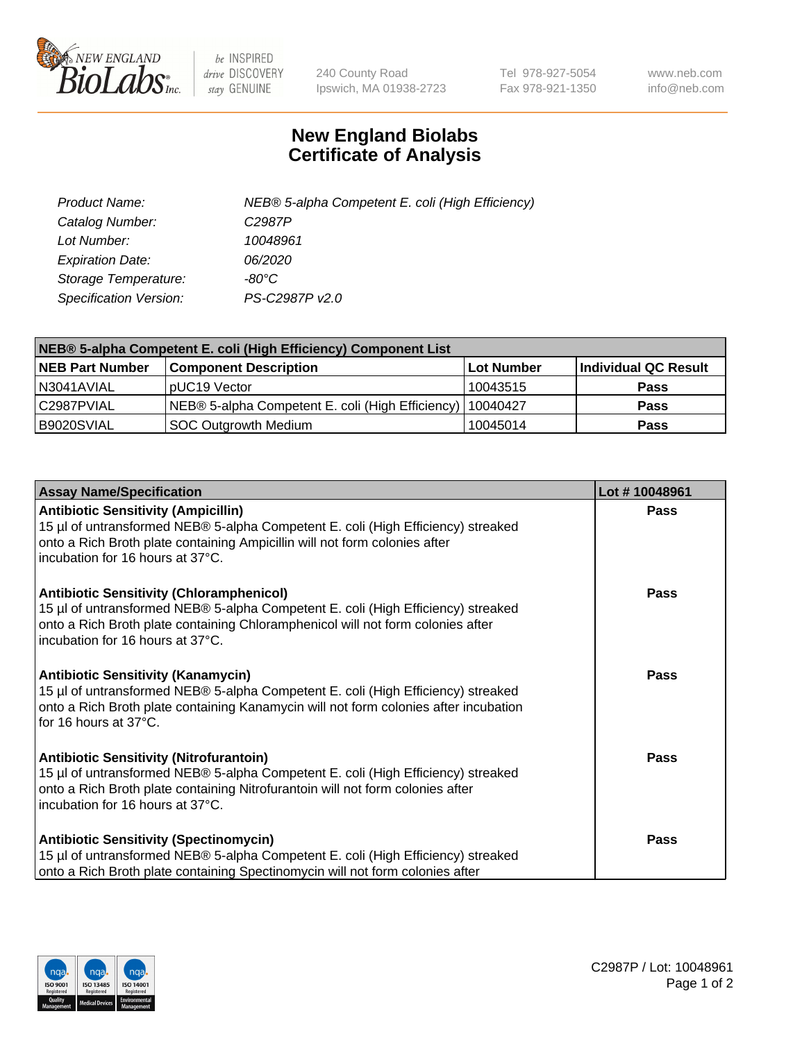

 $be$  INSPIRED drive DISCOVERY stay GENUINE

240 County Road Ipswich, MA 01938-2723 Tel 978-927-5054 Fax 978-921-1350 www.neb.com info@neb.com

## **New England Biolabs Certificate of Analysis**

| Product Name:           | NEB® 5-alpha Competent E. coli (High Efficiency) |
|-------------------------|--------------------------------------------------|
| Catalog Number:         | C <sub>2987</sub> P                              |
| Lot Number:             | 10048961                                         |
| <b>Expiration Date:</b> | <i>06/2020</i>                                   |
| Storage Temperature:    | -80°C.                                           |
| Specification Version:  | PS-C2987P v2.0                                   |

| NEB® 5-alpha Competent E. coli (High Efficiency) Component List |                                                  |            |                      |  |
|-----------------------------------------------------------------|--------------------------------------------------|------------|----------------------|--|
| <b>NEB Part Number</b>                                          | <b>Component Description</b>                     | Lot Number | Individual QC Result |  |
| N3041AVIAL                                                      | pUC19 Vector                                     | 10043515   | <b>Pass</b>          |  |
| C2987PVIAL                                                      | NEB® 5-alpha Competent E. coli (High Efficiency) | 10040427   | <b>Pass</b>          |  |
| B9020SVIAL                                                      | <b>SOC Outgrowth Medium</b>                      | 10045014   | <b>Pass</b>          |  |

| <b>Assay Name/Specification</b>                                                                                                                                                                                                                            | Lot #10048961 |
|------------------------------------------------------------------------------------------------------------------------------------------------------------------------------------------------------------------------------------------------------------|---------------|
| <b>Antibiotic Sensitivity (Ampicillin)</b><br>15 µl of untransformed NEB® 5-alpha Competent E. coli (High Efficiency) streaked<br>onto a Rich Broth plate containing Ampicillin will not form colonies after<br>incubation for 16 hours at 37°C.           | Pass          |
| <b>Antibiotic Sensitivity (Chloramphenicol)</b><br>15 µl of untransformed NEB® 5-alpha Competent E. coli (High Efficiency) streaked<br>onto a Rich Broth plate containing Chloramphenicol will not form colonies after<br>incubation for 16 hours at 37°C. | Pass          |
| <b>Antibiotic Sensitivity (Kanamycin)</b><br>15 µl of untransformed NEB® 5-alpha Competent E. coli (High Efficiency) streaked<br>onto a Rich Broth plate containing Kanamycin will not form colonies after incubation<br>for 16 hours at 37°C.             | Pass          |
| <b>Antibiotic Sensitivity (Nitrofurantoin)</b><br>15 µl of untransformed NEB® 5-alpha Competent E. coli (High Efficiency) streaked<br>onto a Rich Broth plate containing Nitrofurantoin will not form colonies after<br>incubation for 16 hours at 37°C.   | <b>Pass</b>   |
| <b>Antibiotic Sensitivity (Spectinomycin)</b><br>15 µl of untransformed NEB® 5-alpha Competent E. coli (High Efficiency) streaked<br>onto a Rich Broth plate containing Spectinomycin will not form colonies after                                         | Pass          |